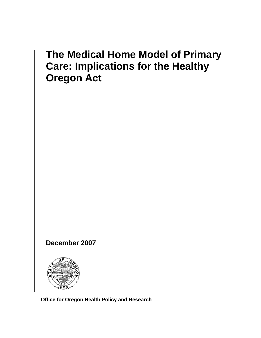# **The Medical Home Model of Primary Care: Implications for the Healthy Oregon Act**

 **December 2007** 



**Office for Oregon Health Policy and Research**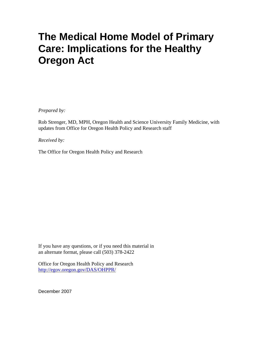# **The Medical Home Model of Primary Care: Implications for the Healthy Oregon Act**

*Prepared by:* 

Rob Strenger, MD, MPH, Oregon Health and Science University Family Medicine, with updates from Office for Oregon Health Policy and Research staff

*Received by:* 

The Office for Oregon Health Policy and Research

If you have any questions, or if you need this material in an alternate format, please call (503) 378-2422

Office for Oregon Health Policy and Research <http://egov.oregon.gov/DAS/OHPPR/>

December 2007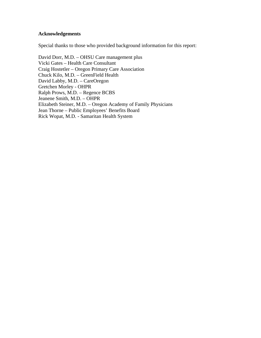#### **Acknowledgements**

Special thanks to those who provided background information for this report:

David Dorr, M.D. – OHSU Care management plus Vicki Gates – Health Care Consultant Craig Hostetler – Oregon Primary Care Association Chuck Kilo, M.D. – GreenField Health David Labby, M.D. – CareOregon Gretchen Morley - OHPR Ralph Prows, M.D. – Regence BCBS Jeanene Smith, M.D. – OHPR Elizabeth Steiner, M.D. – Oregon Academy of Family Physicians Jean Thorne – Public Employees' Benefits Board Rick Wopat, M.D. - Samaritan Health System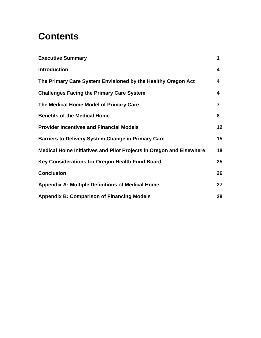# **Contents**

| <b>Executive Summary</b>                                            | 1              |
|---------------------------------------------------------------------|----------------|
| <b>Introduction</b>                                                 | 4              |
| The Primary Care System Envisioned by the Healthy Oregon Act        | 4              |
| <b>Challenges Facing the Primary Care System</b>                    | 4              |
| The Medical Home Model of Primary Care                              | $\overline{7}$ |
| <b>Benefits of the Medical Home</b>                                 | 8              |
| <b>Provider Incentives and Financial Models</b>                     | 12             |
| <b>Barriers to Delivery System Change in Primary Care</b>           | 15             |
| Medical Home Initiatives and Pilot Projects in Oregon and Elsewhere | 18             |
| Key Considerations for Oregon Health Fund Board                     | 25             |
| <b>Conclusion</b>                                                   | 26             |
| <b>Appendix A: Multiple Definitions of Medical Home</b>             | 27             |
| <b>Appendix B: Comparison of Financing Models</b>                   | 28             |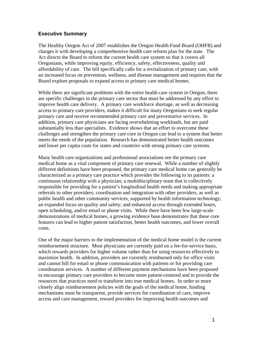#### **Executive Summary**

The Healthy Oregon Act of 2007 establishes the Oregon Health Fund Board (OHFB) and charges it with developing a comprehensive health care reform plan for the state. The Act directs the Board to reform the current health care system so that it covers all Oregonians, while improving equity, efficiency, safety, effectiveness, quality and affordability of care. The bill specifically calls for a revitalization of primary care, with an increased focus on prevention, wellness, and disease management and requires that the Board explore proposals to expand access to primary care medical homes.

While there are significant problems with the entire health care system in Oregon, there are specific challenges in the primary care sector that must be addressed by any effort to improve health care delivery. A primary care workforce shortage, as well as decreasing access to primary care providers, makes it difficult for many Oregonians to seek regular primary care and receive recommended primary care and preventative services. In addition, primary care physicians are facing overwhelming workloads, but are paid substantially less than specialists. Evidence shows that an effort to overcome these challenges and strengthen the primary care core in Oregon can lead to a system that better meets the needs of the population. Research has demonstrated better health outcomes and lower per capita costs for states and countries with strong primary care systems.

Many health care organizations and professional associations see the primary care medical home as a vital component of primary care renewal. While a number of slightly different definitions have been proposed, the primary care medical home can generally be characterized as a primary care practice which provides the following to its patients: a continuous relationship with a physician; a multidisciplinary team that is collectively responsible for providing for a patient's longitudinal health needs and making appropriate referrals to other providers; coordination and integration with other providers, as well as public health and other community services, supported by health information technology; an expanded focus on quality and safety; and enhanced access through extended hours, open scheduling, and/or email or phone visits. While there have been few large-scale demonstrations of medical homes, a growing evidence base demonstrates that these core features can lead to higher patient satisfaction, better health outcomes, and lower overall costs.

One of the major barriers to the implementation of the medical home model is the current reimbursement structure. Most physicians are currently paid on a fee-for-service basis, which rewards providers for higher volume rather than for using resources effectively to maximize health. In addition, providers are currently reimbursed only for office visits and cannot bill for email or phone communication with patients or for providing care coordination services. A number of different payment mechanisms have been proposed to encourage primary care providers to become more patient-centered and to provide the resources that practices need to transform into true medical homes. In order to more closely align reimbursement policies with the goals of the medical home, funding mechanisms must be transparent, provide services for coordination of care, improve access and care management, reward providers for improving health outcomes and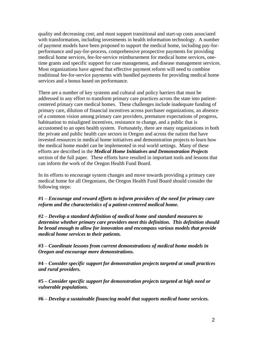quality and decreasing cost; and must support transitional and start-up costs associated with transformation, including investments in health information technology. A number of payment models have been proposed to support the medical home, including pay-forperformance and pay-for-process, comprehensive prospective payments for providing medical home services, fee-for-service reimbursement for medical home services, onetime grants and specific support for case management, and disease management services. Most organizations have agreed that effective payment reform will need to combine traditional fee-for-service payments with bundled payments for providing medical home services and a bonus based on performance.

There are a number of key systems and cultural and policy barriers that must be addressed in any effort to transform primary care practices across the state into patientcentered primary care medical homes. These challenges include inadequate funding of primary care, dilution of financial incentives across purchaser organizations, an absence of a common vision among primary care providers, premature expectations of progress, habituation to misaligned incentives, resistance to change, and a public that is accustomed to an open health system. Fortunately, there are many organizations in both the private and public health care sectors in Oregon and across the nation that have invested resources in medical home initiatives and demonstration projects to learn how the medical home model can be implemented in real world settings. Many of these efforts are described in the *Medical Home Initiatives and Demonstration Projects* section of the full paper. These efforts have resulted in important tools and lessons that can inform the work of the Oregon Health Fund Board.

In its efforts to encourage system changes and move towards providing a primary care medical home for all Oregonians, the Oregon Health Fund Board should consider the following steps:

**#1** – *Encourage and reward efforts to inform providers of the need for primary care reform and the characteristics of a patient-centered medical home.*

**#2** – *Develop a standard definition of medical home and standard measures to determine whether primary care providers meet this definition. This definition should be broad enough to allow for innovation and encompass various models that provide medical home services to their patients.*

**#3** – *Coordinate lessons from current demonstrations of medical home models in Oregon and encourage more demonstrations.* 

**#4** – *Consider specific support for demonstration projects targeted at small practices and rural providers.*

**#5 –** *Consider specific support for demonstration projects targeted at high need or vulnerable populations.*

**#6** – *Develop a sustainable financing model that supports medical home services.*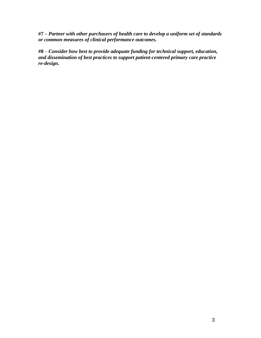**#7** – *Partner with other purchasers of health care to develop a uniform set of standards or common measures of clinical performance outcomes.*

**#8** – *Consider how best to provide adequate funding for technical support, education, and dissemination of best practices to support patient-centered primary care practice re-design.*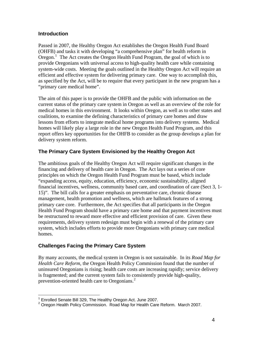#### <span id="page-9-0"></span>**Introduction**

Passed in 2007, the Healthy Oregon Act establishes the Oregon Health Fund Board (OHFB) and tasks it with developing "a comprehensive plan" for health reform in Oregon.<sup>[1](#page-9-0)</sup> The Act creates the Oregon Health Fund Program, the goal of which is to provide Oregonians with universal access to high-quality health care while containing system-wide costs. Meeting the goals outlined in the Healthy Oregon Act will require an efficient and effective system for delivering primary care. One way to accomplish this, as specified by the Act, will be to require that every participant in the new program has a "primary care medical home".

The aim of this paper is to provide the OHFB and the public with information on the current status of the primary care system in Oregon as well as an overview of the role for medical homes in this environment. It looks within Oregon, as well as to other states and coalitions, to examine the defining characteristics of primary care homes and draw lessons from efforts to integrate medical home programs into delivery systems. Medical homes will likely play a large role in the new Oregon Health Fund Program, and this report offers key opportunities for the OHFB to consider as the group develops a plan for delivery system reform.

# **The Primary Care System Envisioned by the Healthy Oregon Act**

The ambitious goals of the Healthy Oregon Act will require significant changes in the financing and delivery of health care in Oregon. The Act lays out a series of core principles on which the Oregon Health Fund Program must be based, which include "expanding access, equity, education, efficiency, economic sustainability, aligned financial incentives, wellness, community based care, and coordination of care (Sect 3, 1- 15)". The bill calls for a greater emphasis on preventative care, chronic disease management, health promotion and wellness, which are hallmark features of a strong primary care core. Furthermore, the Act specifies that all participants in the Oregon Health Fund Program should have a primary care home and that payment incentives must be restructured to reward more effective and efficient provision of care. Given these requirements, delivery system redesign must begin with a renewal of the primary care system, which includes efforts to provide more Oregonians with primary care medical homes.

# **Challenges Facing the Primary Care System**

By many accounts, the medical system in Oregon is not sustainable. In its *Road Map for Health Care Reform*, the Oregon Health Policy Commission found that the number of uninsured Oregonians is rising; health care costs are increasing rapidly; service delivery is fragmented; and the current system fails to consistently provide high-quality, prevention-oriented health care to Oregonians.<sup>[2](#page-9-0)</sup>

<span id="page-9-1"></span> 1 Enrolled Senate Bill 329, The Healthy Oregon Act. June 2007.

 $2$  Oregon Health Policy Commission. Road Map for Health Care Reform. March 2007.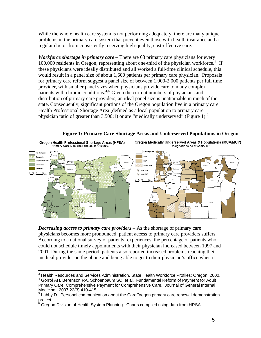<span id="page-10-0"></span>While the whole health care system is not performing adequately, there are many unique problems in the primary care system that prevent even those with health insurance and a regular doctor from consistently receiving high-quality, cost-effective care.

<span id="page-10-1"></span>*Workforce shortage in primary care* – There are 63 primary care physicians for every 100,000 residents in Oregon, representing about one-third of the physician workforce.<sup>[3](#page-10-0)</sup> If these physicians were ideally distributed and all worked a full-time clinical schedule, this would result in a panel size of about 1,600 patients per primary care physician. Proposals for primary care reform suggest a panel size of between 1,000-2,000 patients per full time provider, with smaller panel sizes when physicians provide care to many complex  $p$  patients with chronic conditions.<sup>[4](#page-10-0),[5](#page-10-0)</sup> Given the current numbers of physicians and distribution of primary care providers, an ideal panel size is unattainable in much of the state. Consequently, significant portions of the Oregon population live in a primary care Health Professional Shortage Area (defined as a local population to primary care physician ratio of greater than 3,500:1) or are "medically underserved" (Figure 1).<sup>[6](#page-10-0)</sup>

**Figure 1: Primary Care Shortage Areas and Underserved Populations in Oregon** 



<span id="page-10-2"></span>Oregon Medically Underserved Areas & Populations (MUA/MUP) Designations as of 5/09/2006



*Decreasing access to primary care providers* – As the shortage of primary care physicians becomes more pronounced, patient access to primary care providers suffers. According to a national survey of patients' experiences, the percentage of patients who could not schedule timely appointments with their physician increased between 1997 and 2001. During the same period, patients also reported increased problems reaching their medical provider on the phone and being able to get to their physician's office when it

 3 Health Resources and Services Administration. State Health Workforce Profiles: Oregon. 2000. <sup>4</sup> Gorrol AH, Berenson RA, Schoenbaum SC, et al. Fundamental Reform of Payment for Adult

Primary Care: Comprehensive Payment for Comprehensive Care. Journal of General Internal Medicine. 2007;22(3):410-415.

 $5$  Labby D. Personal communication about the CareOregon primary care renewal demonstration project.<br><sup>6</sup> Orege:

Oregon Division of Health System Planning. Charts compiled using data from HRSA.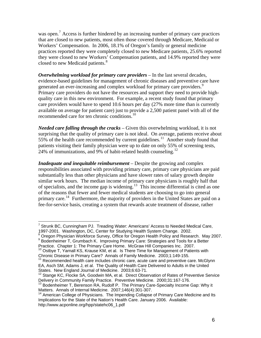<span id="page-11-0"></span>was open.<sup>[7](#page-11-0)</sup> Access is further hindered by an increasing number of primary care practices that are closed to new patients, most often those covered through Medicare, Medicaid or Workers' Compensation. In 2006, 18.1% of Oregon's family or general medicine practices reported they were completely closed to new Medicare patients, 25.6% reported they were closed to new Workers' Compensation patients, and 14.9% reported they were closed to new Medicaid patients.<sup>[8](#page-11-0)</sup>

*Overwhelming workload for primary care providers* – In the last several decades, evidence-based guidelines for management of chronic diseases and preventive care have generated an ever-increasing and complex workload for primary care providers.<sup>[9](#page-11-0)</sup> Primary care providers do not have the resources and support they need to provide highquality care in this new environment. For example, a recent study found that primary care providers would have to spend 10.6 hours per day (27% more time than is currently available on average for patient care) just to provide a 2,500 patient panel with all of the recommended care for ten chronic conditions.<sup>[10](#page-11-0)</sup>

*Needed care falling through the cracks* – Given this overwhelming workload, it is not surprising that the quality of primary care is not ideal. On average, patients receive about 55% of the health care recommended by current guidelines.<sup>[11](#page-11-0)</sup> Another study found that patients visiting their family physician were up to date on only 55% of screening tests, 24% of immunizations, and 9% of habit-related health counseling.<sup>[12](#page-11-0)</sup>

*Inadequate and inequitable reimbursement* – Despite the growing and complex responsibilities associated with providing primary care, primary care physicians are paid substantially less than other physicians and have slower rates of salary growth despite similar work hours. The median income of primary care physicians is roughly half that of specialists, and the income gap is widening.<sup>[13](#page-11-0)</sup> This income differential is cited as one of the reasons that fewer and fewer medical students are choosing to go into general primary care.<sup>[14](#page-11-0)</sup> Furthermore, the majority of providers in the United States are paid on a fee-for-service basis, creating a system that rewards acute treatment of disease, rather

 $\overline{a}$ <sup>7</sup> Strunk BC, Cunningham PJ. Treading Water: Americans' Access to Needed Medical Care, 1997-2001. Washington, DC, Center for Studying Health System Change. 2002. 8

<sup>&</sup>lt;sup>8</sup> Oregon Physician Workforce Survey, Office for Oregon Health Policy and Research. May 2007. Bodenheimer T, Grumbach K. Improving Primary Care: Strategies and Tools for a Better<br>Practice. Chapter 1: The Primary Care Home. McGraw Hill Companies Inc. 2007.

 $10$  Ostbye T, Yarnall KS, Krause KM, et al. Is There Time for Management of Patients with Chronic Disease in Primary Care? Annals of Family Medicine. 2003;1:149-155.<br><sup>11</sup> Recommended health care includes chronic care, acute care and preventive care. McGlynn

EA, Asch SM, Adams J, et al. The Quality of Health Care Delivered to Adults in the United States. New England Journal of Medicine. 2003;6:63-71.

Stange KC, Flocke SA, Goodwin MA, et al. Direct Observation of Rates of Preventive Service Delivery in Community Family Practice. Preventive Medicine. 2000;31:167-176.

<sup>&</sup>lt;sup>13</sup> Bodenheimer T, Berenson RA, Rudolf P. The Primary Care-Specialty Income Gap: Why it Matters. Annals of Internal Medicine. 2007;146(4):301-307.

<sup>&</sup>lt;sup>14</sup> American College of Physicians. The Impending Collapse of Primary Care Medicine and Its Implications for the State of the Nation's Health Care. January 2006. Available: http://www.acponline.org/hpp/statehc06\_1.pdf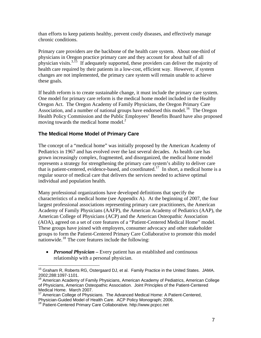<span id="page-12-3"></span><span id="page-12-2"></span><span id="page-12-0"></span>than efforts to keep patients healthy, prevent costly diseases, and effectively manage chronic conditions.

Primary care providers are the backbone of the health care system. About one-third of physicians in Oregon practice primary care and they account for about half of all physician visits.<sup>3,[15](#page-12-0)</sup> If adequately supported, these providers can deliver the majority of health care required by their patients in a low-cost, efficient way. However, if system changes are not implemented, the primary care system will remain unable to achieve these goals.

<span id="page-12-1"></span>If health reform is to create sustainable change, it must include the primary care system. One model for primary care reform is the medical home model included in the Healthy Oregon Act. The Oregon Academy of Family Physicians, the Oregon Primary Care Association, and a number of national groups have endorsed this model.<sup>[16](#page-12-0)</sup> The Oregon Health Policy Commission and the Public Employees' Benefits Board have also proposed moving towards the medical home model.<sup>2</sup>

# **The Medical Home Model of Primary Care**

The concept of a "medical home" was initially proposed by the American Academy of Pediatrics in 1967 and has evolved over the last several decades. As health care has grown increasingly complex, fragmented, and disorganized, the medical home model represents a strategy for strengthening the primary care system's ability to deliver care that is patient-centered, evidence-based, and coordinated.<sup>[17](#page-12-0)</sup> In short, a medical home is a regular source of medical care that delivers the services needed to achieve optimal individual and population health.

Many professional organizations have developed definitions that specify the characteristics of a medical home (see Appendix A). At the beginning of 2007, the four largest professional associations representing primary care practitioners, the American Academy of Family Physicians (AAFP), the American Academy of Pediatrics (AAP), the American College of Physicians (ACP) and the American Osteopathic Association (AOA), agreed on a set of core features of a "Patient-Centered Medical Home" model. These groups have joined with employers, consumer advocacy and other stakeholder groups to form the Patient-Centered Primary Care Collaborative to promote this model nationwide.<sup>[18](#page-12-0)</sup> The core features include the following:

• *Personal Physician* – Every patient has an established and continuous relationship with a personal physician.

 $\overline{a}$ 

<sup>&</sup>lt;sup>15</sup> Graham R, Roberts RG, Ostergaard DJ, et al. Family Practice in the United States. JAMA. 2002;288:1097-1101.

 $16$  American Academy of Family Physicians, American Academy of Pediatrics, American College of Physicians, American Osteopathic Association. Joint Principles of the Patient-Centered Medical Home. March 2007.

 $17$  American College of Physicians. The Advanced Medical Home: A Patient-Centered, Physician-Guided Model of Health Care. ACP Policy Monograph; 2006.<br><sup>18</sup> Patient-Centered Primary Care Collaborative. http://www.pcpcc.net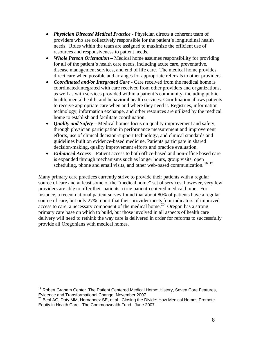- <span id="page-13-0"></span>• *Physician Directed Medical Practice* **-** Physician directs a coherent team of providers who are collectively responsible for the patient's longitudinal health needs. Roles within the team are assigned to maximize the efficient use of resources and responsiveness to patient needs.
- *Whole Person Orientation* Medical home assumes responsibility for providing for all of the patient's health care needs, including acute care, preventative, disease management services, and end of life care. The medical home provides direct care when possible and arranges for appropriate referrals to other providers.
- *Coordinated and/or Integrated Care* Care received from the medical home is coordinated/integrated with care received from other providers and organizations, as well as with services provided within a patient's community, including public health, mental health, and behavioral health services. Coordination allows patients to receive appropriate care when and where they need it. Registries, information technology, information exchange, and other resources are utilized by the medical home to establish and facilitate coordination.
- *Quality and Safety*Medical homes focus on quality improvement and safety, through physician participation in performance measurement and improvement efforts, use of clinical decision-support technology, and clinical standards and guidelines built on evidence-based medicine. Patients participate in shared decision-making, quality improvement efforts and practice evaluation.
- *Enhanced Access* Patient access to both office-based and non-office based care is expanded through mechanisms such as longer hours, group visits, open scheduling, phone and email visits, and other web-based communication.<sup>[16,](#page-12-1) [19](#page-13-0)</sup>

Many primary care practices currently strive to provide their patients with a regular source of care and at least some of the "medical home" set of services; however, very few providers are able to offer their patients a true patient-centered medical home. For instance, a recent national patient survey found that about 80% of patients have a regular source of care, but only 27% report that their provider meets four indicators of improved access to care, a necessary component of the medical home.<sup>[20](#page-13-0)</sup> Oregon has a strong primary care base on which to build, but those involved in all aspects of health care delivery will need to rethink the way care is delivered in order for reforms to successfully provide all Oregonians with medical homes.

<sup>&</sup>lt;u>.</u> <sup>19</sup> Robert Graham Center. The Patient Centered Medical Home: History, Seven Core Features, Evidence and Transformational Change. November 2007.

 $20$  Beal AC, Doty MM, Hernandez SE, et al. Closing the Divide: How Medical Homes Promote Equity in Health Care. The Commonwealth Fund. June 2007.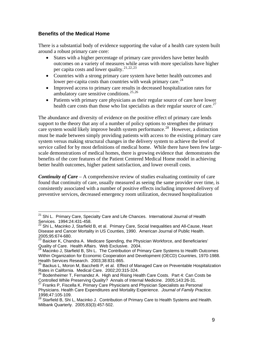### <span id="page-14-0"></span>**Benefits of the Medical Home**

There is a substantial body of evidence supporting the value of a health care system built around a robust primary care core:

- States with a higher percentage of primary care providers have better health outcomes on a variety of measures while areas with more specialists have higher per capita costs and lower quality.<sup>[21](#page-14-0),[22](#page-14-0),[23](#page-14-0)</sup>
- Countries with a strong primary care system have better health outcomes and lower per-capita costs than countries with weak primary care.<sup>[24](#page-14-0)</sup>
- Improved access to primary care results in decreased hospitalization rates for ambulatory care sensitive conditions. $25,26$  $25,26$  $25,26$
- Patients with primary care physicians as their regular source of care have lower health care costs than those who list specialists as their regular source of care.<sup>[27](#page-14-0)</sup>

The abundance and diversity of evidence on the positive effect of primary care lends support to the theory that any of a number of policy options to strengthen the primary care system would likely improve health system performance.<sup>[28](#page-14-0)</sup> However, a distinction must be made between simply providing patients with access to the existing primary care system versus making structural changes in the delivery system to achieve the level of service called for by most definitions of medical home. While there have been few largescale demonstrations of medical homes, there is growing evidence that demonstrates the benefits of the core features of the Patient Centered Medical Home model in achieving better health outcomes, higher patient satisfaction, and lower overall costs.

*Continuity of Care* – A comprehensive review of studies evaluating continuity of care found that continuity of care, usually measured as seeing the same provider over time, is consistently associated with a number of positive effects including improved delivery of preventive services, decreased emergency room utilization, decreased hospitalization

 $\overline{a}$ <sup>21</sup> Shi L. Primary Care, Specialty Care and Life Chances. International Journal of Health Services. 1994:24:431-458.

<sup>&</sup>lt;sup>22</sup> Shi L, Macinko J, Starfield B, et al. Primary Care, Social Inequalities and All-Cause, Heart Disease and Cancer Mortality in US Counties, 1990. American Journal of Public Health. 2005;95:674-680.

<sup>23</sup> Baicker K, Chandra A. Medicare Spending, the Physician Workforce, and Beneficiaries' Quality of Care. Health Affairs. Web Exclusive. 2004.

 $24$  Macinko J, Starfield B, Shi L. The Contribution of Primary Care Systems to Health Outcomes Within Organization for Economic Cooperation and Development (OECD) Countries, 1970-1988. Health Services Research. 2003;38:831-865.

 $25$  Backus L, Moron M, Bacchetti P, et al. Effect of Managed Care on Preventable Hospitalization Rates in California. Medical Care. 2002;20:315-324.

<sup>26</sup> Bodenheimer T, Fernandez A. High and Rising Health Care Costs. Part 4: Can Costs be Controlled While Preserving Quality? Annals of Internal Medicine. 2005;143:26-31.

<sup>&</sup>lt;sup>27</sup> Franks P, Fiscella K. Primary Care Physicians and Physician Specialists as Personal Physicians. Health Care Expenditures and Mortality Experience. *Journal of Family Practice.*  1998;47:105-109.

<sup>28</sup> Starfield B, Shi L, Macinko J. Contribution of Primary Care to Health Systems and Health. Milbank Quarterly. 2005;83(3):457-502.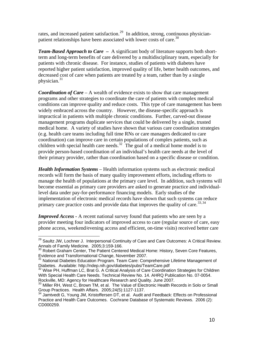<span id="page-15-0"></span>rates, and increased patient satisfaction.<sup>[29](#page-15-0)</sup> In addition, strong, continuous physician-patient relationships have been associated with lower costs of care.<sup>[30](#page-15-0)</sup>

*Team-Based Approach to Care –* A significant body of literature supports both shortterm and long-term benefits of care delivered by a multidisciplinary team, especially for patients with chronic disease. For instance, studies of patients with diabetes have reported higher patient satisfaction, improved quality of life, better health outcomes, and decreased cost of care when patients are treated by a team, rather than by a single physician. $31$ 

*Coordination of Care –* A wealth of evidence exists to show that care management programs and other strategies to coordinate the care of patients with complex medical conditions can improve quality and reduce costs. This type of care management has been widely embraced across the country. However, the disease-specific approach is impractical in patients with multiple chronic conditions. Further, carved-out disease management programs duplicate services that could be delivered by a single, trusted medical home. A variety of studies have shown that various care coordination strategies (e.g. health care teams including full time RNs or care managers dedicated to care coordination) can improve care in certain populations of complex patients, such as children with special health care needs.<sup>[32](#page-15-0)</sup> The goal of a medical home model is to provide person-based coordination of an individual's health care needs at the level of their primary provider, rather than coordination based on a specific disease or condition.

*Health Information Systems* – Health information systems such as electronic medical records will form the basis of many quality improvement efforts, including efforts to manage the health of populations at the primary care level. In addition, such systems will become essential as primary care providers are asked to generate practice and individuallevel data under pay-for-performance financing models. Early studies of the implementation of electronic medical records have shown that such systems can reduce primary care practice costs and provide data that improves the quality of care.<sup>[33](#page-15-0),[34](#page-15-0)</sup>

*Improved Access* **-** A recent national survey found that patients who are seen by a provider meeting four indicators of improved access to care (regular source of care, easy phone access, weekend/evening access and efficient, on-time visits) received better care

1

<sup>&</sup>lt;sup>29</sup> Saultz JW, Lochner J. Interpersonal Continuity of Care and Care Outcomes: A Critical Review. Annals of Family Medicine. 2005;3:159-166.

 $30$  Robert Graham Center, The Patient Centered Medical Home: History, Seven Core Features, Evidence and Transformational Change, November 2007.

<sup>&</sup>lt;sup>31</sup> National Diabetes Education Program. Team Care: Comprehensive Lifetime Management of Diabetes. Available: http://ndep.nih.gov/diabetes/pubs/TeamCare.pdf<br><sup>32</sup> Wise PH, Huffman LC, Brat G. A Critical Analysis of Care Coordination Strategies for Children

With Special Health Care Needs. Technical Review No. 14. AHRQ Publication No. 07-0054. Rockville, MD: Agency for Healthcare Research and Quality. June 2007.

<sup>33</sup> Miller RH, West C, Brown TM, et al. The Value of Electronic Health Records in Solo or Small Group Practices. Health Affairs. 2005;24(5):1127-1137.

 $34$  Jamtvedt G, Young JM, Kristoffersen DT, et al. Audit and Feedback: Effects on Professional Practice and Health Care Outcomes. Cochrane Database of Systematic Reviews. 2006 (2): CD000259.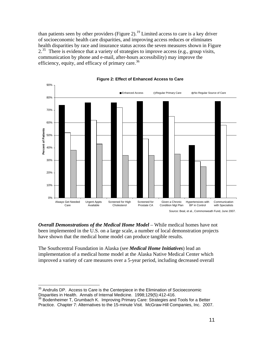<span id="page-16-0"></span>than patients seen by other providers (Figure 2).<sup>19</sup> Limited access to care is a key driver of socioeconomic health care disparities, and improving access reduces or eliminates health disparities by race and insurance status across the seven measures shown in Figure  $2<sup>35</sup>$  $2<sup>35</sup>$  $2<sup>35</sup>$  There is evidence that a variety of strategies to improve access (e.g., group visits, communication by phone and e-mail, after-hours accessibility) may improve the efficiency, equity, and efficacy of primary care.<sup>[36](#page-16-0)</sup>





*Overall Demonstrations of the Medical Home Model* – While medical homes have not been implemented in the U.S. on a large scale, a number of local demonstration projects have shown that the medical home model can produce tangible results.

The Southcentral Foundation in Alaska (see *Medical Home Initiatives*) lead an implementation of a medical home model at the Alaska Native Medical Center which improved a variety of care measures over a 5-year period, including decreased overall

 $\overline{a}$ 

 $35$  Andrulis DP. Access to Care is the Centerpiece in the Elimination of Socioeconomic Disparities in Health. Annals of Internal Medicine. 1998;129(5):412-416.<br><sup>36</sup> Bodenheimer T, Grumbach K. Improving Primary Care: Strategies and Tools for a Better

Practice. Chapter 7: Alternatives to the 15-minute Visit. McGraw-Hill Companies, Inc. 2007.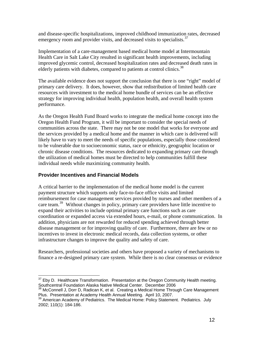<span id="page-17-0"></span>and disease-specific hospitalizations, improved childhood immunization rates, decreased emergency room and provider visits, and decreased visits to specialists.  $37$ 

Implementation of a care-management based medical home model at Intermountain Health Care in Salt Lake City resulted in significant health improvements, including improved glycemic control, decreased hospitalization rates and decreased death rates in elderly patients with diabetes, compared to patients at control clinics.<sup>[38](#page-17-0)</sup>

The available evidence does not support the conclusion that there is one "right" model of primary care delivery. It does, however, show that redistribution of limited health care resources with investment to the medical home bundle of services can be an effective strategy for improving individual health, population health, and overall health system performance.

As the Oregon Health Fund Board works to integrate the medical home concept into the Oregon Health Fund Program, it will be important to consider the special needs of communities across the state. There may not be one model that works for everyone and the services provided by a medical home and the manner in which care is delivered will likely have to vary to meet the needs of specific populations, especially those considered to be vulnerable due to socioeconomic status, race or ethnicity, geographic location or chronic disease conditions. The resources dedicated to expanding primary care through the utilization of medical homes must be directed to help communities fulfill these individual needs while maximizing community health.

# **Provider Incentives and Financial Models**

A critical barrier to the implementation of the medical home model is the current payment structure which supports only face-to-face office visits and limited reimbursement for case management services provided by nurses and other members of a care team.<sup>[39](#page-17-0)</sup> Without changes in policy, primary care providers have little incentive to expand their activities to include optimal primary care functions such as care coordination or expanded access via extended hours, e-mail, or phone communication. In addition, physicians are not rewarded for reduced spending achieved through better disease management or for improving quality of care. Furthermore, there are few or no incentives to invest in electronic medical records, data collection systems, or other infrastructure changes to improve the quality and safety of care.

Researchers, professional societies and others have proposed a variety of mechanisms to finance a re-designed primary care system. While there is no clear consensus or evidence

 $\overline{a}$  $37$  Eby D. Healthcare Transformation. Presentation at the Oregon Community Health meeting. Southcentral Foundation Alaska Native Medical Center. December 2006

 $38$  McConnell J, Dorr D, Radican K, et al. Creating a Medical Home Through Care Management Plus. Presentation at Academy Health Annual Meeting. April 10, 2007.

<sup>&</sup>lt;sup>39</sup> American Academy of Pediatrics. The Medical Home: Policy Statement. Pediatrics. July 2002; 110(1): 184-186.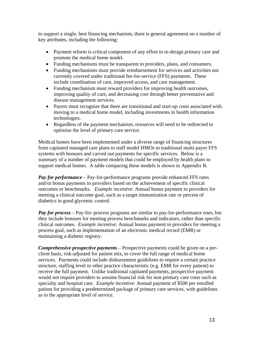to support a single, best financing mechanism, there is general agreement on a number of key attributes, including the following:

- Payment reform is critical component of any effort to re-design primary care and promote the medical home model.
- Funding mechanisms must be transparent to providers, plans, and consumers.
- Funding mechanisms must provide reimbursement for services and activities not currently covered under traditional fee-for-service (FFS) payments. These include coordination of care, improved access, and care management.
- Funding mechanism must reward providers for improving health outcomes, improving quality of care, and decreasing cost through better preventative and disease management services.
- Payers must recognize that there are transitional and start-up costs associated with moving to a medical home model, including investments in health information technologies.
- Regardless of the payment mechanism, resources will need to be redirected to optimize the level of primary care service.

Medical homes have been implemented under a diverse range of financing structures from capitated managed care plans to staff model HMOs to traditional multi-payer FFS systems with bonuses and carved out payments for specific services. Below is a summary of a number of payment models that could be employed by health plans to support medical homes. A table comparing these models is shown in Appendix B.

*Pay for performance* – Pay-for-performance programs provide enhanced FFS rates and/or bonus payments to providers based on the achievement of specific clinical outcomes or benchmarks. *Example incentive*: Annual bonus payment to providers for meeting a clinical outcome goal, such as a target immunization rate or percent of diabetics in good glycemic control.

*Pay for process* – Pay-for–process programs are similar to pay-for-performance ones, but they include bonuses for meeting process benchmarks and indicators, rather than specific clinical outcomes. *Example incentive*: Annual bonus payment to providers for meeting a process goal, such as implementation of an electronic medical record (EMR) or maintaining a diabetic registry.

*Comprehensive prospective payments* – Prospective payments could be given on a perclient basis, risk-adjusted for patient mix, to cover the full range of medical home services. Payments could include disbursement guidelines to require a certain practice structure, staffing level or other practice characteristic (e.g. EMR for every patient) to receive the full payment. Unlike traditional capitated payments, prospective payment would not require providers to assume financial risk for non-primary care costs such as specialty and hospital care. *Example incentive*: Annual payment of \$500 per enrolled patient for providing a predetermined package of primary care services, with guidelines as to the appropriate level of service.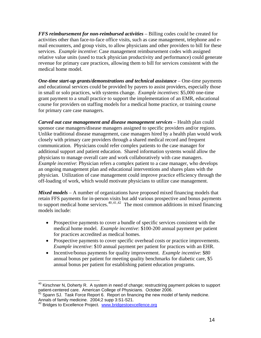<span id="page-19-0"></span>*FFS reimbursement for non-reimbursed activities* – Billing codes could be created for activities other than face-to-face office visits, such as case management, telephone and email encounters, and group visits, to allow physicians and other providers to bill for these services. *Example incentive*: Case management reimbursement codes with assigned relative value units (used to track physician productivity and performance) could generate revenue for primary care practices, allowing them to bill for services consistent with the medical home model.

*One-time start-up grants/demonstrations and technical assistance* – One-time payments and educational services could be provided by payers to assist providers, especially those in small or solo practices, with systems change. *Example incentives*: \$5,000 one-time grant payment to a small practice to support the implementation of an EMR, educational course for providers on staffing models for a medical home practice, or training course for primary care case managers.

*Carved out case management and disease management services* – Health plan could sponsor case managers/disease managers assigned to specific providers and/or regions. Unlike traditional disease management, case managers hired by a health plan would work closely with primary care providers through a shared medical record and frequent communication. Physicians could refer complex patients to the case manager for additional support and patient education. Shared information systems would allow the physicians to manage overall care and work collaboratively with case managers. *Example incentive*: Physician refers a complex patient to a case manager, who develops an ongoing management plan and educational interventions and shares plans with the physician. Utilization of case management could improve practice efficiency through the off-loading of work, which would motivate physicians to utilize case management.

*Mixed models* – A number of organizations have proposed mixed financing models that retain FFS payments for in-person visits but add various prospective and bonus payments to support medical home services.<sup>[40](#page-19-0),[41](#page-19-0),[42](#page-19-0)</sup> The most common additions in mixed financing models include:

- Prospective payments to cover a bundle of specific services consistent with the medical home model. *Example incentive*: \$100-200 annual payment per patient for practices accredited as medical homes.
- Prospective payments to cover specific overhead costs or practice improvements. *Example incentive*: \$10 annual payment per patient for practices with an EHR.
- Incentive/bonus payments for quality improvement. *Example incentive*: \$80 annual bonus per patient for meeting quality benchmarks for diabetic care, \$5 annual bonus per patient for establishing patient education programs.

 $\overline{a}$ 

 $40$  Kirschner N, Doherty R. A system in need of change; restructiring payment policies to support patient-centered care. American College of Physicians. October 2006.<br><sup>41</sup> Spann SJ. Task Force Report 6. Report on financing the new model of family medicine.

Annals of family medicine. 2004;2 supp 3:S1-S21.

<sup>&</sup>lt;sup>42</sup> Bridges to Excellence Project. [www.bridgestoexcellence.org](http://www.bridgestoexcellence.org/)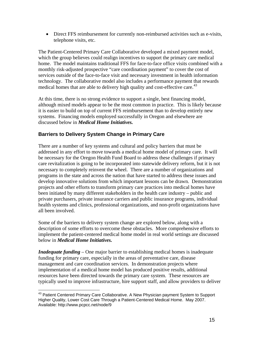<span id="page-20-0"></span>• Direct FFS reimbursement for currently non-reimbursed activities such as e-visits, telephone visits, etc.

The Patient-Centered Primary Care Collaborative developed a mixed payment model, which the group believes could realign incentives to support the primary care medical home. The model maintains traditional FFS for face-to-face office visits combined with a monthly risk-adjusted prospective "care coordination payment" to cover the cost of services outside of the face-to-face visit and necessary investment in health information technology. The collaborative model also includes a performance payment that rewards medical homes that are able to delivery high quality and cost-effective care.<sup>[43](#page-20-0)</sup>

At this time, there is no strong evidence to support a single, best financing model, although mixed models appear to be the most common in practice. This is likely because it is easier to build on top of current FFS reimbursement than to develop entirely new systems. Financing models employed successfully in Oregon and elsewhere are discussed below in *Medical Home Initiatives.*

# **Barriers to Delivery System Change in Primary Care**

There are a number of key systems and cultural and policy barriers that must be addressed in any effort to move towards a medical home model of primary care. It will be necessary for the Oregon Health Fund Board to address these challenges if primary care revitalization is going to be incorporated into statewide delivery reform, but it is not necessary to completely reinvent the wheel. There are a number of organizations and programs in the state and across the nation that have started to address these issues and develop innovative solutions from which important lessons can be drawn. Demonstration projects and other efforts to transform primary care practices into medical homes have been initiated by many different stakeholders in the health care industry – public and private purchasers, private insurance carriers and public insurance programs, individual health systems and clinics, professional organizations, and non-profit organizations have all been involved.

Some of the barriers to delivery system change are explored below, along with a description of some efforts to overcome these obstacles. More comprehensive efforts to implement the patient-centered medical home model in real world settings are discussed below in *Medical Home Initiatives.*

*Inadequate funding –* One major barrier to establishing medical homes is inadequate funding for primary care, especially in the areas of preventative care, disease management and care coordination services. In demonstration projects where implementation of a medical home model has produced positive results, additional resources have been directed towards the primary care system. These resources are typically used to improve infrastructure, hire support staff, and allow providers to deliver

 $\overline{a}$ <sup>43</sup> Patient Centered Primary Care Collaborative. A New Physician payment System to Support Higher Quality, Lower Cost Care Through a Patient-Centered Medical Home. May 2007. Available: http://www.pcpcc.net/node/9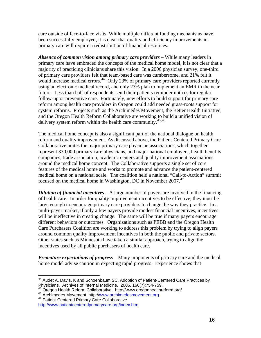<span id="page-21-0"></span>care outside of face-to-face visits. While multiple different funding mechanisms have been successfully employed, it is clear that quality and efficiency improvements in primary care will require a redistribution of financial resources.

*Absence of common vision among primary care providers* – While many leaders in primary care have embraced the concepts of the medical home model, it is not clear that a majority of practicing clinicians share this vision. In a 2006 physician survey, one-third of primary care providers felt that team-based care was cumbersome, and 21% felt it would increase medical errors.<sup>[44](#page-21-0)</sup> Only 23% of primary care providers reported currently using an electronic medical record, and only 23% plan to implement an EMR in the near future. Less than half of respondents send their patients reminder notices for regular follow-up or preventive care. Fortunately, new efforts to build support for primary care reform among health care providers in Oregon could add needed grass-roots support for system reforms. Projects such as the Archimedes Movement, the Better Health Initiative, and the Oregon Health Reform Collaborative are working to build a unified vision of delivery system reform within the health care community.<sup>[45](#page-21-0),[46](#page-21-0)</sup>

The medical home concept is also a significant part of the national dialogue on health reform and quality improvement. As discussed above, the Patient-Centered Primary Care Collaborative unites the major primary care physician associations, which together represent 330,000 primary care physicians, and major national employers, health benefits companies, trade association, academic centers and quality improvement associations around the medical home concept. The Collaborative supports a single set of core features of the medical home and works to promote and advance the patient-centered medical home on a national scale. The coalition held a national "Call-to-Action" summit focused on the medical home in Washington, DC in November 2007.<sup>[47](#page-21-0)</sup>

*Dilution of financial incentives* – A large number of payers are involved in the financing of health care. In order for quality improvement incentives to be effective, they must be large enough to encourage primary care providers to change the way they practice. In a multi-payer market, if only a few payers provide modest financial incentives, incentives will be ineffective in creating change. The same will be true if many payers encourage different behaviors or outcomes. Organizations such as PEBB and the Oregon Health Care Purchasers Coalition are working to address this problem by trying to align payers around common quality improvement incentives in both the public and private sectors. Other states such as Minnesota have taken a similar approach, trying to align the incentives used by all public purchasers of health care.

*Premature expectations of progress* – Many proponents of primary care and the medical home model advise caution in expecting rapid progress. Experience shows that

 $\overline{a}$  $44$  Audet A, Davis, K and Schoenbaum SC, Adoption of Patient-Centered Care Practices by Physicians. Archives of Internal Medicine. 2006. 166(7):754-759.<br><sup>45</sup> Oregon Health Reform Collab[orative. http://www.oregonhealth](http://www.archimedesmovement.org/)reform.org/<br><sup>46</sup> Archimedes Movement. http://<u>[www.archimedesmovement.org](http://www.archimedesmovement.org/)</u><br><sup>47</sup> Patient-Center

<http://www.patientcenteredprimarycare.org/index.htm>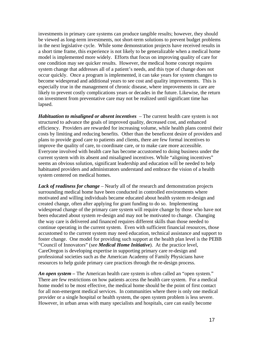investments in primary care systems can produce tangible results; however, they should be viewed as long-term investments, not short-term solutions to prevent budget problems in the next legislative cycle. While some demonstration projects have received results in a short time frame, this experience is not likely to be generalizable when a medical home model is implemented more widely. Efforts that focus on improving quality of care for one condition may see quicker results. However, the medical home concept requires system change that addresses all of a patient's needs, and this type of change does not occur quickly. Once a program is implemented, it can take years for system changes to become widespread and additional years to see cost and quality improvements. This is especially true in the management of chronic disease, where improvements in care are likely to prevent costly complications years or decades in the future. Likewise, the return on investment from preventative care may not be realized until significant time has lapsed.

*Habituation to misaligned or absent incentives* – The current health care system is not structured to advance the goals of improved quality, decreased cost, and enhanced efficiency. Providers are rewarded for increasing volume, while health plans control their costs by limiting and reducing benefits. Other than the beneficent desire of providers and plans to provide good care to patients and clients, there are few formal incentives to improve the quality of care, to coordinate care, or to make care more accessible. Everyone involved with health care has become accustomed to doing business under the current system with its absent and misaligned incentives. While "aligning incentives" seems an obvious solution, significant leadership and education will be needed to help habituated providers and administrators understand and embrace the vision of a health system centered on medical homes.

*Lack of readiness for change* – Nearly all of the research and demonstration projects surrounding medical home have been conducted in controlled environments where motivated and willing individuals became educated about health system re-design and created change, often after applying for grant funding to do so. Implementing widespread change of the primary care system will require change by those who have not been educated about system re-design and may not be motivated to change. Changing the way care is delivered and financed requires different skills than those needed to continue operating in the current system. Even with sufficient financial resources, those accustomed to the current system may need education, technical assistance and support to foster change. One model for providing such support at the health plan level is the PEBB "Council of Innovators" (see *Medical Home Initiative*). At the practice level, CareOregon is developing expertise in supporting primary care re-design and professional societies such as the American Academy of Family Physicians have resources to help guide primary care practices through the re-design process.

*An open system –* The American health care system is often called an "open system." There are few restrictions on how patients access the health care system. For a medical home model to be most effective, the medical home should be the point of first contact for all non-emergent medical services. In communities where there is only one medical provider or a single hospital or health system, the open system problem is less severe. However, in urban areas with many specialists and hospitals, care can easily become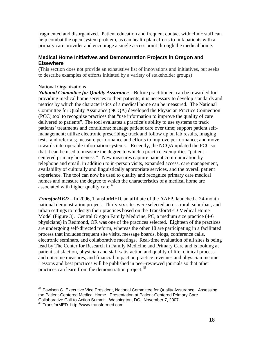<span id="page-23-0"></span>fragmented and disorganized. Patient education and frequent contact with clinic staff can help combat the open system problem, as can health plan efforts to link patients with a primary care provider and encourage a single access point through the medical home.

### **Medical Home Initiatives and Demonstration Projects in Oregon and Elsewhere**

(This section does not provide an exhaustive list of innovations and initiatives, but seeks to describe examples of efforts initiated by a variety of stakeholder groups)

### National Organizations

*National Committee for Quality Assurance –* Before practitioners can be rewarded for providing medical home services to their patients, it is necessary to develop standards and metrics by which the characteristics of a medical home can be measured. The National Committee for Quality Assurance (NCQA) developed the Physician Practice Connection (PCC) tool to recognize practices that "use information to improve the quality of care delivered to patients". The tool evaluates a practice's ability to use systems to track patients' treatments and conditions; manage patient care over time; support patient selfmanagement; utilize electronic prescribing; track and follow up on lab results, imaging tests, and referrals; measure performance and efforts to improve performance; and move towards interoperable information systems. Recently, the NCQA updated the PCC so that it can be used to measure the degree to which a practice exemplifies "patientcentered primary homeness." New measures capture patient communication by telephone and email, in addition to in-person visits, expanded access, care management, availability of culturally and linguistically appropriate services, and the overall patient experience. The tool can now be used to qualify and recognize primary care medical homes and measure the degree to which the characteristics of a medical home are associated with higher quality care.<sup>[48](#page-23-0)</sup>

*TransforMED* – In 2006, TransforMED, an affiliate of the AAFP, launched a 24-month national demonstration project. Thirty-six sites were selected across rural, suburban, and urban settings to redesign their practices based on the TransforMED Medical Home Model (Figure 3). Central Oregon Family Medicine, PC, a medium size practice (4-6 physicians) in Redmond, OR was one of the practices selected. Eighteen of the practices are undergoing self-directed reform, whereas the other 18 are participating in a facilitated process that includes frequent site visits, message boards, blogs, conference calls, electronic seminars, and collaborative meetings. Real-time evaluation of all sites is being lead by The Center for Research in Family Medicine and Primary Care and is looking at patient satisfaction, physician and staff satisfaction and quality of life, clinical process and outcome measures, and financial impact on practice revenues and physician income. Lessons and best practices will be published in peer-reviewed journals so that other practices can learn from the demonstration project.<sup>[49](#page-23-0)</sup>

 $\overline{a}$ 

<sup>&</sup>lt;sup>48</sup> Pawlson G. Executive Vice President, National Committee for Quality Assurance. Assessing the Patient-Centered Medical Home. Presentation at Patient-Centered Primary Care Collaborative Call-to-Action Summit. Washington, DC. November 7, 2007.

<sup>&</sup>lt;sup>49</sup> TransforMED. http://www.transformed.com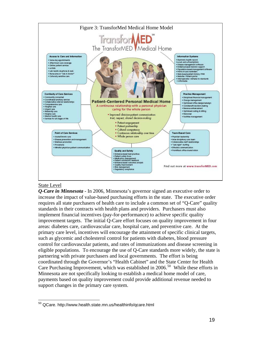<span id="page-24-0"></span>

#### State Level

*Q-Care in Minnesota* - In 2006, Minnesota's governor signed an executive order to increase the impact of value-based purchasing efforts in the state. The executive order requires all state purchasers of health care to include a common set of "Q-Care" quality standards in their contracts with health plans and providers. Purchasers must also implement financial incentives (pay-for-performance) to achieve specific quality improvement targets. The initial Q-Care effort focuses on quality improvement in four areas: diabetes care, cardiovascular care, hospital care, and preventive care. At the primary care level, incentives will encourage the attainment of specific clinical targets, such as glycemic and cholesterol control for patients with diabetes, blood pressure control for cardiovascular patients, and rates of immunizations and disease screening in eligible populations. To encourage the use of Q-Care standards more widely, the state is partnering with private purchasers and local governments. The effort is being coordinated through the Governor's "Health Cabinet" and the State Center for Health Care Purchasing Improvement, which was established in  $2006$ <sup>[50](#page-24-0)</sup> While these efforts in Minnesota are not specifically looking to establish a medical home model of care, payments based on quality improvement could provide additional revenue needed to support changes in the primary care system.

 $\overline{a}$  $50$  QCare. http://www.health.state.mn.us/healthinfo/qcare.html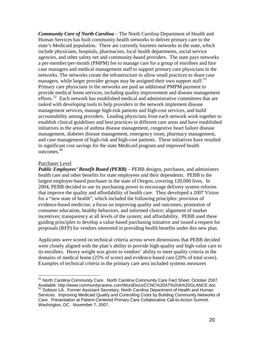<span id="page-25-0"></span>*Community Care of North Carolina –* The North Carolina Department of Health and Human Services has built community health networks to deliver primary care to the state's Medicaid population. There are currently fourteen networks in the state, which include physicians, hospitals, pharmacists, local health departments, social service agencies, and other safety net and community-based providers. The state pays networks a per-member/per-month (PMPM) fee to manage care for a group of enrollees and hire case managers and medical management staff to support primary care physicians in the networks. The networks create the infrastructure to allow small practices to share case managers, while larger provider groups may be assigned their own support staff.<sup>[51](#page-25-0)</sup> Primary care physicians in the networks are paid an additional PMPM payment to provide medical home services, including quality improvement and disease management efforts.<sup>[52](#page-25-0)</sup> Each network has established medical and administrative committees that are tasked with developing tools to help providers in the network implement disease management services, manage high-risk patients and high-cost services, and build accountability among providers. Leading physicians from each network work together to establish clinical guidelines and best practices in different care areas and have established initiatives in the areas of asthma disease management, congestive heart failure disease management, diabetes disease management, emergency room, pharmacy management, and case management of high-risk and high-cost patients. These initiatives have resulted in significant cost savings for the state Medicaid program and improved health outcomes.<sup>48</sup>

#### Purchaser Level

*Public Employees' Benefit Board (PEBB)* – PEBB designs, purchases, and administers health care and other benefits for state employees and their dependents. PEBB is the largest employer-based purchaser in the state of Oregon, covering 120,000 lives. In 2004, PEBB decided to use its purchasing power to encourage delivery system reforms that improve the quality and affordability of health care. They developed a 2007 Vision for a "new state of health", which included the following principles: provision of evidence-based medicine; a focus on improving quality and outcomes; promotion of consumer education, healthy behaviors, and informed choice; alignment of market incentives; transparency at all levels of the system; and affordability. PEBB used these guiding principles to develop a value-based purchasing initiative and issued a request for proposals (RFP) for vendors interested in providing health benefits under this new plan.

Applicants were scored on technical criteria across seven dimensions that PEBB decided were closely aligned with the plan's ability to provide high-quality and high-value care to its enrollees. Heavy weight was given to vendors' ability to meet quality criteria in the domains of medical home (25% of score) and evidence-based care (20% of total score). Examples of technical criteria in the primary care area included systems measures

 $\overline{a}$ <sup>51</sup> North Carolina Community Care. North Carolina Community Care Fact Sheet. October 2007. Available: http://www.communitycarenc.com/WordDocs/CCNC%20AT%20A%20GLANCE.doc

 $52$  Dobson LA. Former Assistant Secretary, North Carolina Department of Health and Human Services. Improving Medicaid Quality and Controlling Costs by Building Community Networks of Care. Presentation at Patient-Centered Primary Care Collaborative Call-to-Action Summit. Washington, DC. November 7, 2007.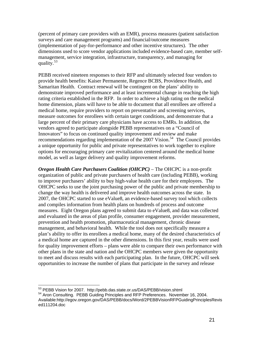<span id="page-26-0"></span>(percent of primary care providers with an EMR), process measures (patient satisfaction surveys and care management programs) and financial/outcome measures (implementation of pay-for-performance and other incentive structures). The other dimensions used to score vendor applications included evidence-based care, member selfmanagement, service integration, infrastructure, transparency, and managing for quality.<sup>[53](#page-26-0)</sup>

PEBB received nineteen responses to their RFP and ultimately selected four vendors to provide health benefits: Kaiser Permanente, Regence BCBS, Providence Health, and Samaritan Health. Contract renewal will be contingent on the plans' ability to demonstrate improved performance and at least incremental change in reaching the high rating criteria established in the RFP. In order to achieve a high rating on the medical home dimension, plans will have to be able to document that all enrollees are offered a medical home, require providers to report on preventative and screening services, measure outcomes for enrollees with certain target conditions, and demonstrate that a large percent of their primary care physicians have access to EMRs. In addition, the vendors agreed to participate alongside PEBB representatives on a "Council of Innovators" to focus on continued quality improvement and review and make recommendations regarding implementation of the  $2007$  Vision.<sup>[54](#page-26-0)</sup> The Council provides a unique opportunity for public and private representatives to work together to explore options for encouraging primary care revitalization centered around the medical home model, as well as larger delivery and quality improvement reforms.

*Oregon Health Care Purchasers Coalition (OHCPC)* – The OHCPC is a non-profit organization of public and private purchasers of health care (including PEBB), working to improve purchasers' ability to buy high-value health care for their employees. The OHCPC seeks to use the joint purchasing power of the public and private membership to change the way health is delivered and improve health outcomes across the state. In 2007, the OHCPC started to use eValue8, an evidence-based survey tool which collects and compiles information from health plans on hundreds of process and outcome measures. Eight Oregon plans agreed to submit data to eValue8, and data was collected and evaluated in the areas of plan profile, consumer engagement, provider measurement, prevention and health promotion, pharmaceutical management, chronic disease management, and behavioral health. While the tool does not specifically measure a plan's ability to offer its enrollees a medical home, many of the desired characteristics of a medical home are captured in the other dimensions. In this first year, results were used for quality improvement efforts – plans were able to compare their own performance with other plans in the state and nation and the OHCPC members were given the opportunity to meet and discuss results with each participating plan. In the future, OHCPC will seek opportunities to increase the number of plans that participate in the survey and release

 $\overline{a}$ 

<sup>&</sup>lt;sup>53</sup> PEBB Vision for 2007. http://pebb.das.state.or.us/DAS/PEBB/vision.shtml

<sup>54</sup> Aron Consulting. PEBB Guiding Principles and RFP Preferences. November 16, 2004. Available:http://egov.oregon.gov/DAS/PEBB/docs/Word/2PEBBVisionRFPGuidingPrinciplesRevis ed111204.doc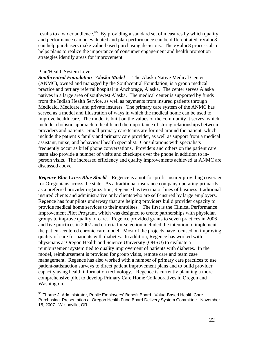<span id="page-27-0"></span>results to a wider audience.<sup>[55](#page-27-0)</sup> By providing a standard set of measures by which quality and performance can be evaluated and plan performance can be differentiated, eValue8 can help purchasers make value-based purchasing decisions. The eValue8 process also helps plans to realize the importance of consumer engagement and health promotion strategies identify areas for improvement.

#### Plan/Health System Level

*Southcentral Foundation "Alaska Model" –* The Alaska Native Medical Center (ANMC), owned and managed by the Southcentral Foundation, is a group medical practice and tertiary referral hospital in Anchorage, Alaska. The center serves Alaska natives in a large area of southwest Alaska. The medical center is supported by funds from the Indian Health Service, as well as payments from insured patients through Medicaid, Medicare, and private insurers. The primary care system of the ANMC has served as a model and illustration of ways in which the medical home can be used to improve health care. The model is built on the values of the community it serves, which include a holistic approach to health and the importance of strong relationships between providers and patients. Small primary care teams are formed around the patient, which include the patient's family and primary care provider, as well as support from a medical assistant, nurse, and behavioral health specialist. Consultations with specialists frequently occur as brief phone conversations. Providers and others on the patient care team also provide a number of visits and checkups over the phone in addition to inperson visits. The increased efficiency and quality improvements achieved at ANMC are discussed above.

*Regence Blue Cross Blue Shield –* Regence is a not-for-profit insurer providing coverage for Oregonians across the state. As a traditional insurance company operating primarily as a preferred provider organization, Regence has two major lines of business: traditional insured clients and administrative only clients who are self-insured by large employers. Regence has four pilots underway that are helping providers build provider capacity to provide medical home services to their enrollees. The first is the Clinical Performance Improvement Pilot Program, which was designed to create partnerships with physician groups to improve quality of care. Regence provided grants to seven practices in 2006 and five practices in 2007 and criteria for selection included the intention to implement the patient-centered chronic care model. Most of the projects have focused on improving quality of care for patients with diabetes. In addition, Regence has worked with physicians at Oregon Health and Science University (OHSU) to evaluate a reimbursement system tied to quality improvement of patients with diabetes. In the model, reimbursement is provided for group visits, remote care and team case management. Regence has also worked with a number of primary care practices to use patient-satisfaction surveys to direct patient improvement plans and to build provider capacity using health information technology. Regence is currently planning a more comprehensive pilot to develop Primary Care Home Collaboratives in Oregon and Washington.

 $\overline{a}$ 55 Thorne J. Administrator, Public Employees' Benefit Board. Value-Based Health Care Purchasing. Presentation at Oregon Health Fund Board Delivery System Committee. November 15, 2007. Wilsonville, OR.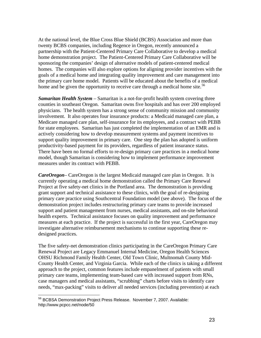<span id="page-28-0"></span>At the national level, the Blue Cross Blue Shield (BCBS) Association and more than twenty BCBS companies, including Regence in Oregon, recently announced a partnership with the Patient-Centered Primary Care Collaborative to develop a medical home demonstration project. The Patient-Centered Primary Care Collaborative will be sponsoring the companies' design of alternative models of patient-centered medical homes. The companies will also explore options for aligning provider incentives with the goals of a medical home and integrating quality improvement and care management into the primary care home model. Patients will be educated about the benefits of a medical home and be given the opportunity to receive care through a medical home site.<sup>[56](#page-28-0)</sup>

*Samaritan Health System* – Samaritan is a not-for-profit health system covering three counties in southeast Oregon. Samaritan owns five hospitals and has over 200 employed physicians. The health system has a strong sense of community mission and community involvement. It also operates four insurance products: a Medicaid managed care plan, a Medicare managed care plan, self-insurance for its employees, and a contract with PEBB for state employees. Samaritan has just completed the implementation of an EMR and is actively considering how to develop measurement systems and payment incentives to support quality improvement in primary care. One step the plan has adopted is uniform productivity-based payment for its providers, regardless of patient insurance status. There have been no formal efforts to re-design primary care practices in a medical home model, though Samaritan is considering how to implement performance improvement measures under its contract with PEBB.

*CareOregon*– CareOregon is the largest Medicaid managed care plan in Oregon. It is currently operating a medical home demonstration called the Primary Care Renewal Project at five safety-net clinics in the Portland area. The demonstration is providing grant support and technical assistance to these clinics, with the goal of re-designing primary care practice using Southcentral Foundation model (see above). The focus of the demonstration project includes restructuring primary care teams to provide increased support and patient management from nurses, medical assistants, and on-site behavioral health experts. Technical assistance focuses on quality improvement and performance measures at each practice. If the project is successful in the first year, CareOregon may investigate alternative reimbursement mechanisms to continue supporting these redesigned practices.

The five safety-net demonstration clinics participating in the CareOregon Primary Care Renewal Project are Legacy Emmanuel Internal Medicine, Oregon Health Sciences OHSU Richmond Family Health Center, Old Town Clinic, Multnomah County Mid-County Health Center, and Virginia Garcia. While each of the clinics is taking a different approach to the project, common features include empanelment of patients with small primary care teams, implementing team-based care with increased support from RNs, case managers and medical assistants, "scrubbing" charts before visits to identify care needs, "max-packing" visits to deliver all needed services (including prevention) at each

 $\overline{a}$ 

<sup>&</sup>lt;sup>56</sup> BCBSA Demonstration Project Press Release. November 7, 2007. Available: http://www.pcpcc.net/node/50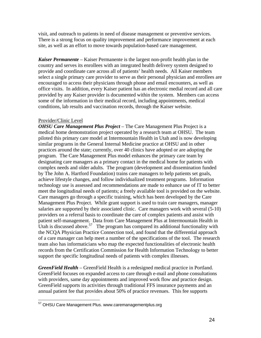<span id="page-29-0"></span>visit, and outreach to patients in need of disease management or preventive services. There is a strong focus on quality improvement and performance improvement at each site, as well as an effort to move towards population-based care management.

*Kaiser Permanente* – Kaiser Permanente is the largest non-profit health plan in the country and serves its enrollees with an integrated health delivery system designed to provide and coordinate care across all of patients' health needs. All Kaiser members select a single primary care provider to serve as their personal physician and enrollees are encouraged to access their physicians through phone and email encounters, as well as office visits. In addition, every Kaiser patient has an electronic medial record and all care provided by any Kaiser provider is documented within the system. Members can access some of the information in their medical record, including appointments, medical conditions, lab results and vaccination records, through the Kaiser website.

#### Provider/Clinic Level

 $\overline{a}$ 

*OHSU Care Management Plus Project* – The Care Management Plus Project is a medical home demonstration project operated by a research team at OHSU. The team piloted this primary care model at Intermountain Health in Utah and is now developing similar programs in the General Internal Medicine practice at OHSU and in other practices around the state; currently, over 40 clinics have adopted or are adopting the program. The Care Management Plus model enhances the primary care team by designating care managers as a primary contact in the medical home for patients with complex needs and older adults. The program (development and dissemination funded by The John A. Hartford Foundation) trains care managers to help patients set goals, achieve lifestyle changes, and follow individualized treatment programs. Information technology use is assessed and recommendations are made to enhance use of IT to better meet the longitudinal needs of patients; a freely available tool is provided on the website. Care managers go through a specific training, which has been developed by the Care Management Plus Project. While grant support is used to train care managers, manager salaries are supported by their associated clinic. Care managers work with several (5-10) providers on a referral basis to coordinate the care of complex patients and assist with patient self-management. Data from Care Management Plus at Intermountain Health in Utah is discussed above.<sup>[57](#page-29-0)</sup> The program has compared its additional functionality with the NCQA Physician Practice Connection tool, and found that the differential approach of a care manager can help meet a number of the specifications of the tool. The research team also has informaticians who map the expected functionalities of electronic health records from the Certification Commission for Health Information Technology to better support the specific longitudinal needs of patients with complex illnesses.

*GreenField Health* – GreenField Health is a redesigned medical practice in Portland. GreenField focuses on expanded access to care through e-mail and phone consultations with providers, same day appointments and improved work flow and practice design. GreenField supports its activities through traditional FFS insurance payments and an annual patient fee that provides about 50% of practice revenues. This fee supports

<sup>&</sup>lt;sup>57</sup> OHSU Care Management Plus. www.caremanagementplus.org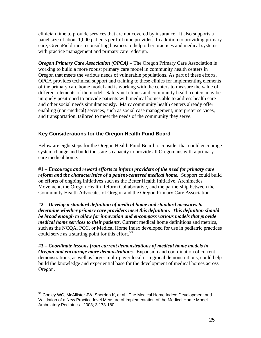<span id="page-30-0"></span>clinician time to provide services that are not covered by insurance. It also supports a panel size of about 1,000 patients per full time provider. In addition to providing primary care, GreenField runs a consulting business to help other practices and medical systems with practice management and primary care redesign.

*Oregon Primary Care Association (OPCA) –* The Oregon Primary Care Association is working to build a more robust primary care model in community health centers in Oregon that meets the various needs of vulnerable populations. As part of these efforts, OPCA provides technical support and training to these clinics for implementing elements of the primary care home model and is working with the centers to measure the value of different elements of the model. Safety net clinics and community health centers may be uniquely positioned to provide patients with medical homes able to address health care and other social needs simultaneously. Many community health centers already offer enabling (non-medical) services, such as social case management, interpreter services, and transportation, tailored to meet the needs of the community they serve.

# **Key Considerations for the Oregon Health Fund Board**

Below are eight steps for the Oregon Health Fund Board to consider that could encourage system change and build the state's capacity to provide all Oregonians with a primary care medical home.

**#1** – *Encourage and reward efforts to inform providers of the need for primary care reform and the characteristics of a patient-centered medical home.* Support could build on efforts of ongoing initiatives such as the Better Health Initiative, Archimedes Movement, the Oregon Health Reform Collaborative, and the partnership between the Community Health Advocates of Oregon and the Oregon Primary Care Association.

**#2** – *Develop a standard definition of medical home and standard measures to determine whether primary care providers meet this definition. This definition should be broad enough to allow for innovation and encompass various models that provide medical home services to their patients.* Current medical home definitions and metrics, such as the NCQA, PCC, or Medical Home Index developed for use in pediatric practices could serve as a starting point for this effort.<sup>[58](#page-30-0)</sup>

**#3** – *Coordinate lessons from current demonstrations of medical home models in Oregon and encourage more demonstrations.* Expansion and coordination of current demonstrations, as well as larger multi-payer local or regional demonstrations, could help build the knowledge and experiential base for the development of medical homes across Oregon.

 $\overline{a}$ <sup>58</sup> Cooley WC, McAllister JW, Sherrieb K, et al. The Medical Home Index: Development and Validation of a New Practice-level Measure of Implementation of the Medical Home Model. Ambulatory Pediatrics. 2003; 3:173-180.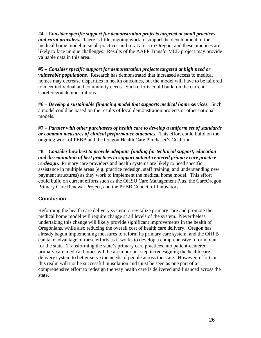**#4** – *Consider specific support for demonstration projects targeted at small practices and rural providers.* There is little ongoing work to support the development of the medical home model in small practices and rural areas in Oregon, and these practices are likely to face unique challenges. Results of the AAFP TransforMED project may provide valuable data in this area.

**#5 –** *Consider specific support for demonstration projects targeted at high need or vulnerable populations.* Research has demonstrated that increased access to medical homes may decrease disparities in health outcomes, but the model will have to be tailored to meet individual and community needs. Such efforts could build on the current CareOregon demonstrations.

**#6** – *Develop a sustainable financing model that supports medical home services.* Such a model could be based on the results of local demonstration projects or other national models.

**#7** – *Partner with other purchasers of health care to develop a uniform set of standards or common measures of clinical performance outcomes.* This effort could build on the ongoing work of PEBB and the Oregon Health Care Purchaser's Coalition.

**#8** – *Consider how best to provide adequate funding for technical support, education and dissemination of best practices to support patient-centered primary care practice re-design.* Primary care providers and health systems are likely to need specific assistance in multiple areas (e.g. practice redesign, staff training, and understanding new payment structures) as they work to implement the medical home model. This effort could build on current efforts such as the OHSU Care Management Plus, the CareOregon Primary Care Renewal Project, and the PEBB Council of Innovators.

# **Conclusion**

Reforming the health care delivery system to revitalize primary care and promote the medical home model will require change at all levels of the system. Nevertheless, undertaking this change will likely provide significant improvements in the health of Oregonians, while also reducing the overall cost of health care delivery. Oregon has already begun implementing measures to reform its primary care system, and the OHFB can take advantage of these efforts as it works to develop a comprehensive reform plan for the state. Transforming the state's primary care practices into patient-centered primary care medical homes will be an important step in redesigning the health care delivery system to better serve the needs of people across the state. However, efforts in this realm will not be successful in isolation and must be seen as one part of a comprehensive effort to redesign the way health care is delivered and financed across the state.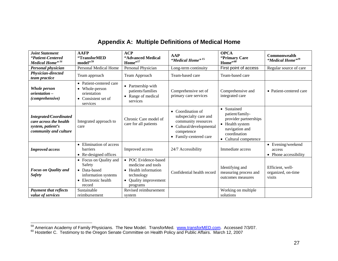| <b>Joint Statement</b>                                                                                | <b>AAFP</b>                                                                                                       | <b>ACP</b>                                                                                                                            |                                                                                                                                       | <b>OPCA</b>                                                                                                                           |                                                      |  |
|-------------------------------------------------------------------------------------------------------|-------------------------------------------------------------------------------------------------------------------|---------------------------------------------------------------------------------------------------------------------------------------|---------------------------------------------------------------------------------------------------------------------------------------|---------------------------------------------------------------------------------------------------------------------------------------|------------------------------------------------------|--|
| "Patient-Centered<br>Medical Home" <sup>16</sup>                                                      | "TransforMED<br>model",59                                                                                         | "Advanced Medical<br>Home",17                                                                                                         | <b>AAP</b><br>"Medical Home" <sup>15</sup>                                                                                            | "Primary Care<br>Home",60                                                                                                             | <b>Commonwealth</b><br>"Medical Home" <sup>19</sup>  |  |
| Personal physician                                                                                    | <b>Personal Medical Home</b>                                                                                      | Personal Physician                                                                                                                    | Long-term continuity                                                                                                                  | First point of access                                                                                                                 | Regular source of care                               |  |
| Physician-directed<br>team practice                                                                   | Team approach                                                                                                     | Team Approach                                                                                                                         | Team-based care                                                                                                                       | Team-based care                                                                                                                       |                                                      |  |
| Whole person<br>orientation -<br>(comprehensive)                                                      | • Patient-centered care<br>Whole-person<br>$\bullet$<br>orientation<br>Consistent set of<br>$\bullet$<br>services | • Partnership with<br>patients/families<br>Range of medical<br>$\bullet$<br>services                                                  | Comprehensive set of<br>primary care services                                                                                         | Comprehensive and<br>integrated care                                                                                                  | • Patient-centered care                              |  |
| <b>Integrated/Coordinated</b><br>care across the health<br>system, patient's<br>community and culture | Integrated approach to<br>care                                                                                    | Chronic Care model of<br>care for all patients                                                                                        | • Coordination of<br>subspecialty care and<br>community resources<br>• Cultural/developmental<br>competence<br>• Family-centered care | • Sustained<br>patient/family-<br>provider partnerships<br>• Health system<br>navigation and<br>coordination<br>• Cultural competence |                                                      |  |
| <b>Improved</b> access                                                                                | • Elimination of access<br><b>barriers</b><br>• Re-designed offices                                               | Improved access                                                                                                                       | 24/7 Accessibility                                                                                                                    | Immediate access                                                                                                                      | • Evening/weekend<br>access<br>• Phone accessibility |  |
| <b>Focus on Quality and</b><br><b>Safety</b>                                                          | • Focus on Quality and<br>Safety<br>• Data-based<br>information systems<br>• Electronic health<br>record          | • POC Evidence-based<br>medicine and tools<br>Health information<br>technology<br><b>Quality improvement</b><br>$\bullet$<br>programs | Confidential health record                                                                                                            | Identifying and<br>measuring process and<br>outcomes measures                                                                         | Efficient, well-<br>organized, on-time<br>visits     |  |
| <b>Payment that reflects</b><br>value of services                                                     | Sustainable<br>reimbursement                                                                                      | Revised reimbursement<br>system                                                                                                       |                                                                                                                                       | Working on multiple<br>solutions                                                                                                      |                                                      |  |

# **Appendix A: Multiple Definitions of Medical Home**

<span id="page-32-0"></span><sup>&</sup>lt;sup>59</sup> American Academy of Family Physicians. The New Model. TransforMed. [www.transforMED.com](http://www.transformed.com/). Accessed 7/3/07.<br><sup>60</sup> Hostetler C. Testimony to the Oregon Senate Committee on Health Policy and Public Affairs. March 12, 2007

<span id="page-32-1"></span>